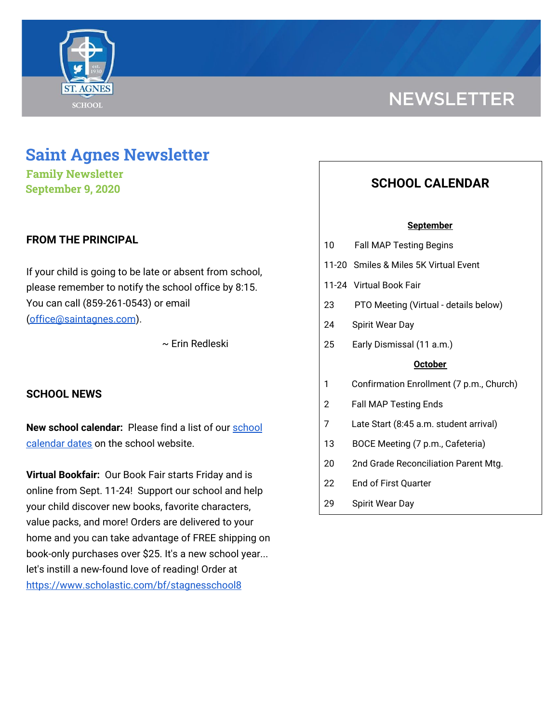

# **NEWSLETTER**

# **Saint Agnes Newsletter**

**Family Newsletter September 9, 2020**

# **FROM THE PRINCIPAL**

If your child is going to be late or absent from school, please remember to notify the school office by 8:15. You can call (859-261-0543) or email [\(office@saintagnes.com](mailto:office@saintagnes.com)).

~ Erin Redleski

## **SCHOOL NEWS**

**New school calendar:** Please find a list of our [school](https://school.saintagnes.com/wp-content/uploads/2020/09/2020-2021-School-Calendar-Parents.pdf) [calendar](https://school.saintagnes.com/wp-content/uploads/2020/09/2020-2021-School-Calendar-Parents.pdf) dates on the school website.

**Virtual Bookfair:** Our Book Fair starts Friday and is online from Sept. 11-24! Support our school and help your child discover new books, favorite characters, value packs, and more! Orders are delivered to your home and you can take advantage of FREE shipping on book-only purchases over \$25. It's a new school year... let's instill a new-found love of reading! Order at <https://www.scholastic.com/bf/stagnesschool8>

# **SCHOOL CALENDAR**

#### **September**

- 10 Fall MAP Testing Begins
- 11-20 Smiles & Miles 5K Virtual Event
- 11-24 Virtual Book Fair
- 23 PTO Meeting (Virtual details below)
- 24 Spirit Wear Day
- 25 Early Dismissal (11 a.m.)

#### **October**

- 1 Confirmation Enrollment (7 p.m., Church)
- 2 Fall MAP Testing Ends
- 7 Late Start (8:45 a.m. student arrival)
- 13 BOCE Meeting (7 p.m., Cafeteria)
- 20 2nd Grade Reconciliation Parent Mtg.
- 22 End of First Quarter
- 29 Spirit Wear Day